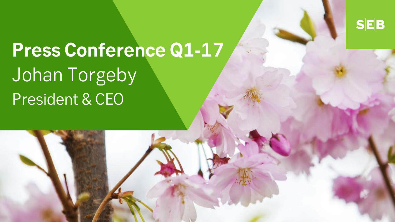$S|E|B$ 

# **Press Conference Q1-17** Johan Torgeby President & CEO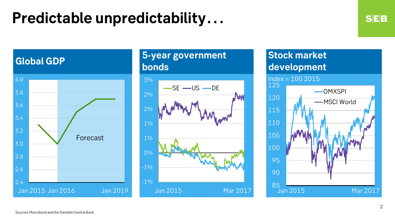## **Predictable unpredictability…**

### **Global GDP**



### **5-year government bonds**



### **Stock market development**

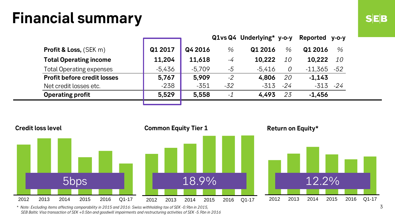## **Financial summary**

|                                    |          |          |       | Q1vs Q4 Underlying* y-o-y |           | Reported  | $V-O-V$   |
|------------------------------------|----------|----------|-------|---------------------------|-----------|-----------|-----------|
| <b>Profit &amp; Loss, (SEK m)</b>  | Q1 2017  | Q4 2016  | $\%$  | Q1 2016                   | $\%$      | Q1 2016   | $\%$      |
| <b>Total Operating income</b>      | 11,204   | 11,618   | -4    | 10,222                    | <i>10</i> | 10.222    | <i>10</i> |
| <b>Total Operating expenses</b>    | $-5,436$ | $-5.709$ | -5    | $-5.416$                  | 0         | $-11,365$ | $-52$     |
| <b>Profit before credit losses</b> | 5,767    | 5,909    | $-2$  | 4.806                     | 20        | $-1.143$  |           |
| Net credit losses etc.             | $-238$   | $-351$   | $-32$ | $-313$                    | $-24$     | $-313$    | $-24$     |
| <b>Operating profit</b>            | 5,529    | 5,558    | $-1$  | 4.493                     | 23        | $-1,456$  |           |
|                                    |          |          |       |                           |           |           |           |



\* *Note: Excluding items affecting comparability in 2015 and 2016: Swiss withholding tax of SEK -0.9bn in 2015, SEB Baltic Visa transaction of SEK +0.5bn and goodwill impairments and restructuring activities of SEK -5.9bn in 2016*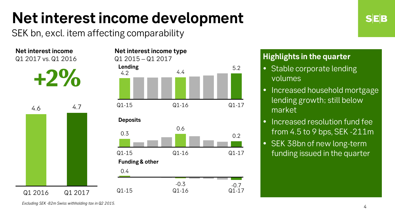# **Net interest income development**

SEK bn, excl. item affecting comparability

**Net interest income**  Q1 2017 vs. Q1 2016







### **Highlights in the quarter**

- Stable corporate lending volumes
- Increased household mortgage lending growth; still below market
- Increased resolution fund fee from 4.5 to 9 bps, SEK -211m
- SEK 38bn of new long-term funding issued in the quarter

*Excluding SEK -82m Swiss withholding tax in Q2 2015.*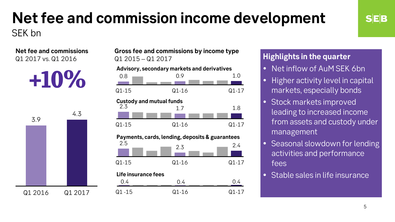### **Net fee and commission income development** SEK bn

**Net fee and commissions**  Q1 2017 vs. Q1 2016

**+10%**



**Gross fee and commissions by income type**  Q1 2015 – Q1 2017

#### **Advisory, secondary markets and derivatives**



#### **Highlights in the quarter**

- Net inflow of AuM SEK 6bn
- Higher activity level in capital markets, especially bonds
- Stock markets improved leading to increased income from assets and custody under management
- Seasonal slowdown for lending activities and performance fees
- Stable sales in life insurance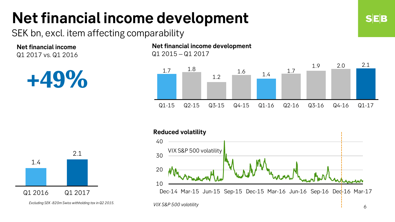# **Net financial income development**

SEK bn, excl. item affecting comparability

**Net financial income** Q1 2017 vs. Q1 2016



**Net financial income development** Q1 2015 – Q1 2017





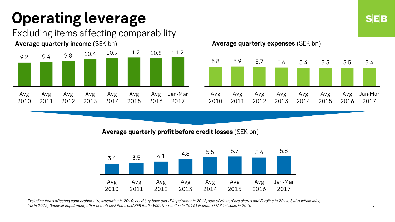# **Operating leverage**

### Excluding items affecting comparability





**Average quarterly expenses** (SEK bn)



#### **Average quarterly profit before credit losses** (SEK bn)



Excluding items affecting comparability (restructuring in 2010, bond buy-back and IT impairment in 2012, sale of MasterCard shares and Euroline in 2014, Swiss withholding *tax in 2015, Goodwill impairment, other one-off cost items and SEB Baltic VISA transaction in 2016) Estimated IAS 19 costs in 2010*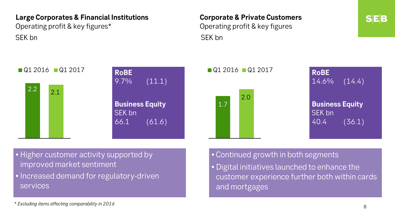#### **Large Corporates & Financial Institutions**

Operating profit & key figures\* SEK bn SEK bn SEK bn SEK bn SEK bn SEK bn SEK bn SEK bn SEK bn SEK bn SEK bn SEK bn SEK bn SEK bn SEK bn SEK bn

### **Corporate & Private Customers** Operating profit & key figures





| <b>RoBE</b><br>14.6%                     | (14.4)        |
|------------------------------------------|---------------|
| <b>Business Equity</b><br>SEK bn<br>40.4 | <u>(36.1)</u> |

• Higher customer activity supported by improved market sentiment

• Increased demand for regulatory-driven services

#### • Continued growth in both segments

• Digital initiatives launched to enhance the customer experience further both within cards and mortgages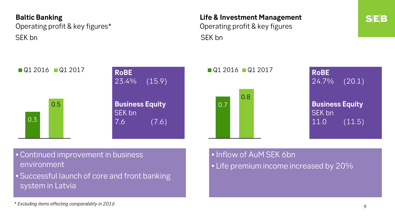#### **Baltic Banking**

Operating profit & key figures\* SEK bn SEK bn SEK bn SEK bn SEK bn SEK bn SEK bn SEK bn SEK bn SEK bn SEK bn SEK bn SEK bn SEK bn SEK bn SEK bn

## **Life & Investment Management** Operating profit & key figures

**SEB** 





| <b>RoBE</b><br>$24.7\%$                  | (20.1) |
|------------------------------------------|--------|
| <b>Business Equity</b><br>SEK bn<br>11.0 | (11.5) |

• Continued improvement in business environment

• Successful launch of core and front banking system in Latvia

- Inflow of AuM SEK 6bn
- Life premium income increased by 20%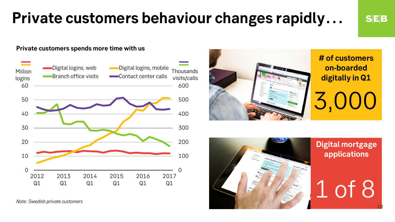## **Private customers behaviour changes rapidly…**

```
SEB
```
10

#### **Private customers spends more time with us**



*Note: Swedish private customers*



**# of customers on-boarded digitally in Q1**

3,000



**Digital mortgage applications**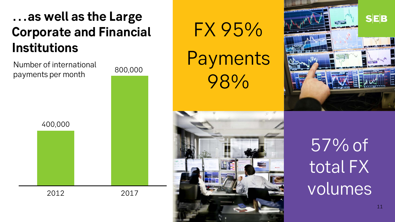## **…as well as the Large Corporate and Financial Institutions**

Number of international payments per month









57% of total FX volumes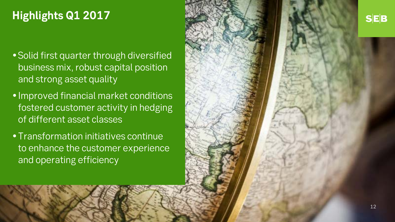### **Highlights Q1 2017**

- Solid first quarter through diversified business mix, robust capital position and strong asset quality
- Improved financial market conditions fostered customer activity in hedging of different asset classes
- Transformation initiatives continue to enhance the customer experience and operating efficiency